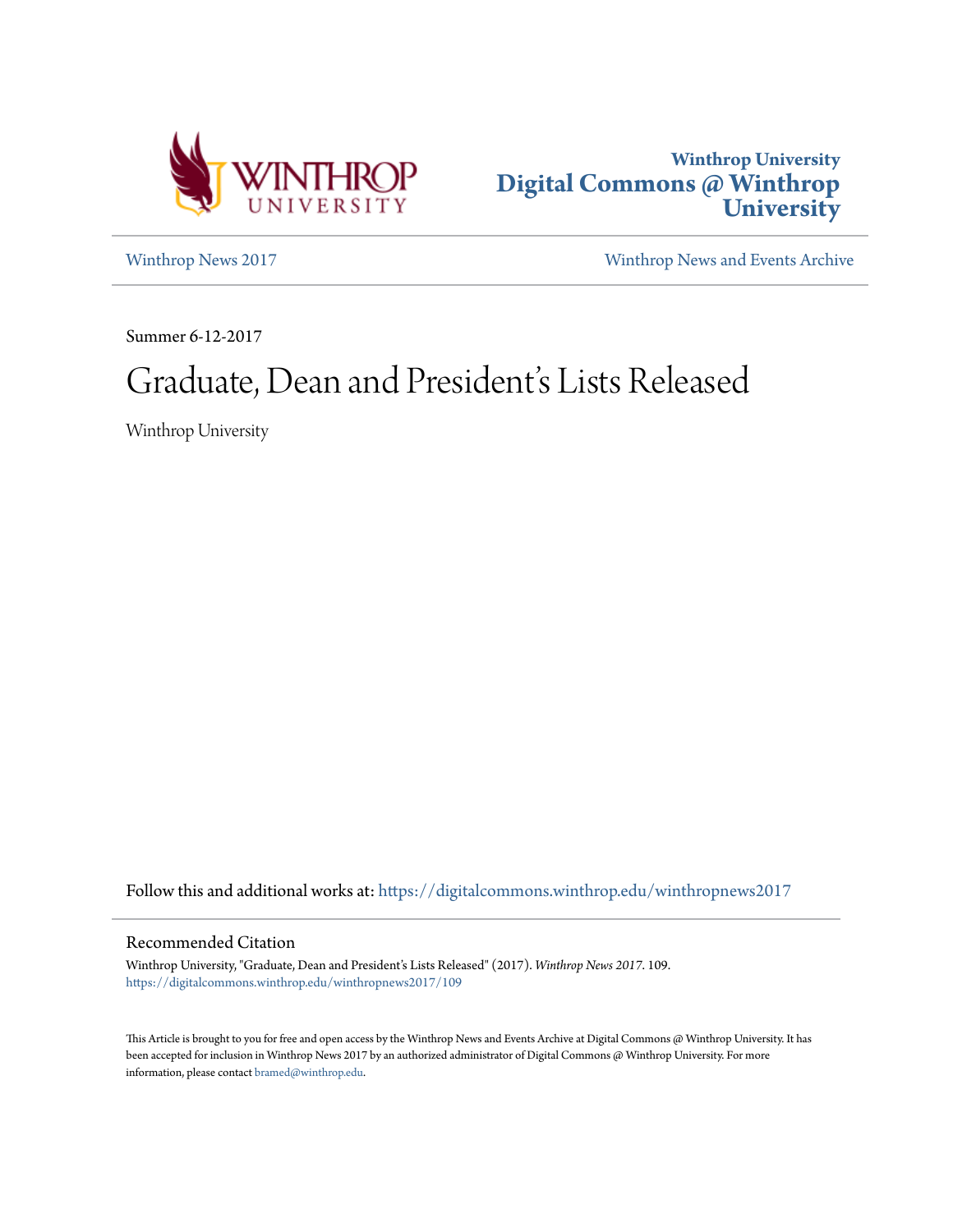



[Winthrop News 2017](https://digitalcommons.winthrop.edu/winthropnews2017?utm_source=digitalcommons.winthrop.edu%2Fwinthropnews2017%2F109&utm_medium=PDF&utm_campaign=PDFCoverPages) [Winthrop News and Events Archive](https://digitalcommons.winthrop.edu/winthropnewsarchives?utm_source=digitalcommons.winthrop.edu%2Fwinthropnews2017%2F109&utm_medium=PDF&utm_campaign=PDFCoverPages)

Summer 6-12-2017

## Graduate, Dean and President's Lists Released

Winthrop University

Follow this and additional works at: [https://digitalcommons.winthrop.edu/winthropnews2017](https://digitalcommons.winthrop.edu/winthropnews2017?utm_source=digitalcommons.winthrop.edu%2Fwinthropnews2017%2F109&utm_medium=PDF&utm_campaign=PDFCoverPages)

## Recommended Citation

Winthrop University, "Graduate, Dean and President's Lists Released" (2017). *Winthrop News 2017*. 109. [https://digitalcommons.winthrop.edu/winthropnews2017/109](https://digitalcommons.winthrop.edu/winthropnews2017/109?utm_source=digitalcommons.winthrop.edu%2Fwinthropnews2017%2F109&utm_medium=PDF&utm_campaign=PDFCoverPages)

This Article is brought to you for free and open access by the Winthrop News and Events Archive at Digital Commons @ Winthrop University. It has been accepted for inclusion in Winthrop News 2017 by an authorized administrator of Digital Commons @ Winthrop University. For more information, please contact [bramed@winthrop.edu](mailto:bramed@winthrop.edu).